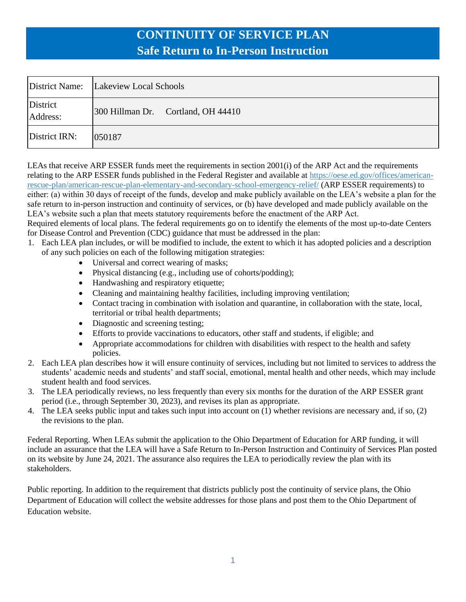|                      | District Name: Lakeview Local Schools |
|----------------------|---------------------------------------|
| District<br>Address: | 300 Hillman Dr. Cortland, OH 44410    |
| District IRN:        | 050187                                |

LEAs that receive ARP ESSER funds meet the requirements in section 2001(i) of the ARP Act and the requirements relating to the ARP ESSER funds published in the Federal Register and available at [https://oese.ed.gov/offices/american](https://oese.ed.gov/offices/american-rescue-plan/american-rescue-plan-elementary-and-secondary-school-emergency-relief/)[rescue-plan/american-rescue-plan-elementary-and-secondary-school-emergency-relief/](https://oese.ed.gov/offices/american-rescue-plan/american-rescue-plan-elementary-and-secondary-school-emergency-relief/) (ARP ESSER requirements) to either: (a) within 30 days of receipt of the funds, develop and make publicly available on the LEA's website a plan for the safe return to in-person instruction and continuity of services, or (b) have developed and made publicly available on the LEA's website such a plan that meets statutory requirements before the enactment of the ARP Act.

Required elements of local plans. The federal requirements go on to identify the elements of the most up-to-date Centers for Disease Control and Prevention (CDC) guidance that must be addressed in the plan:

- 1. Each LEA plan includes, or will be modified to include, the extent to which it has adopted policies and a description of any such policies on each of the following mitigation strategies:
	- Universal and correct wearing of masks;
	- Physical distancing (e.g., including use of cohorts/podding);
	- Handwashing and respiratory etiquette;
	- Cleaning and maintaining healthy facilities, including improving ventilation;
	- Contact tracing in combination with isolation and quarantine, in collaboration with the state, local, territorial or tribal health departments;
	- Diagnostic and screening testing;
	- Efforts to provide vaccinations to educators, other staff and students, if eligible; and
	- Appropriate accommodations for children with disabilities with respect to the health and safety policies.
- 2. Each LEA plan describes how it will ensure continuity of services, including but not limited to services to address the students' academic needs and students' and staff social, emotional, mental health and other needs, which may include student health and food services.
- 3. The LEA periodically reviews, no less frequently than every six months for the duration of the ARP ESSER grant period (i.e., through September 30, 2023), and revises its plan as appropriate.
- 4. The LEA seeks public input and takes such input into account on (1) whether revisions are necessary and, if so, (2) the revisions to the plan.

Federal Reporting. When LEAs submit the application to the Ohio Department of Education for ARP funding, it will include an assurance that the LEA will have a Safe Return to In-Person Instruction and Continuity of Services Plan posted on its website by June 24, 2021. The assurance also requires the LEA to periodically review the plan with its stakeholders.

Public reporting. In addition to the requirement that districts publicly post the continuity of service plans, the Ohio Department of Education will collect the website addresses for those plans and post them to the Ohio Department of Education website.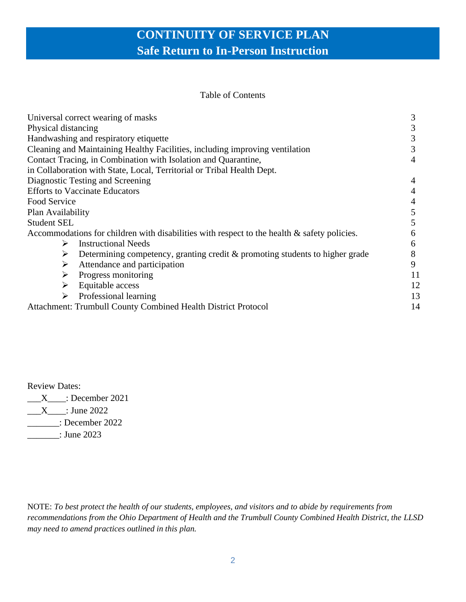#### Table of Contents

| Universal correct wearing of masks                                                             |    |
|------------------------------------------------------------------------------------------------|----|
| Physical distancing                                                                            |    |
| Handwashing and respiratory etiquette                                                          |    |
| Cleaning and Maintaining Healthy Facilities, including improving ventilation                   |    |
| Contact Tracing, in Combination with Isolation and Quarantine,                                 |    |
| in Collaboration with State, Local, Territorial or Tribal Health Dept.                         |    |
| Diagnostic Testing and Screening                                                               | 4  |
| <b>Efforts to Vaccinate Educators</b>                                                          | 4  |
| Food Service                                                                                   |    |
| Plan Availability                                                                              | 5  |
| <b>Student SEL</b>                                                                             | 5  |
| Accommodations for children with disabilities with respect to the health $\&$ safety policies. | 6  |
| <b>Instructional Needs</b><br>➤                                                                | 6  |
| Determining competency, granting credit & promoting students to higher grade<br>➤              | 8  |
| Attendance and participation<br>➤                                                              | 9  |
| Progress monitoring<br>➤                                                                       | 11 |
| Equitable access<br>➤                                                                          | 12 |
| Professional learning                                                                          | 13 |
| Attachment: Trumbull County Combined Health District Protocol                                  | 14 |

Review Dates:

 $\text{X}$  : December 2021  $\frac{X}{2}$ : June 2022 \_\_\_\_\_\_\_: December 2022 \_\_\_\_\_\_\_: June 2023

NOTE: *To best protect the health of our students, employees, and visitors and to abide by requirements from recommendations from the Ohio Department of Health and the Trumbull County Combined Health District, the LLSD may need to amend practices outlined in this plan.*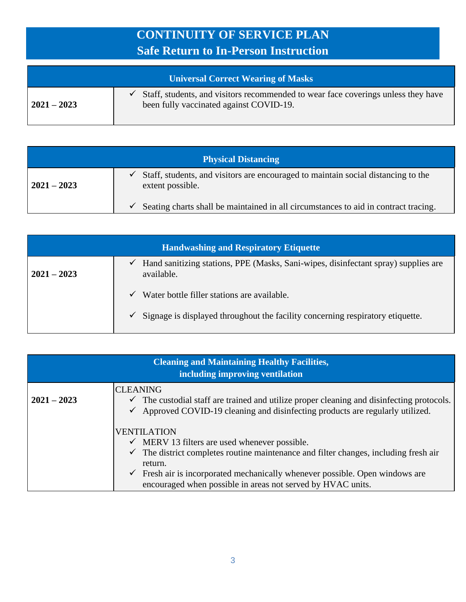| Universal Correct Wearing of Masks |                                                                                                                              |
|------------------------------------|------------------------------------------------------------------------------------------------------------------------------|
| $2021 - 2023$                      | Staff, students, and visitors recommended to wear face coverings unless they have<br>been fully vaccinated against COVID-19. |

| <b>Physical Distancing</b> |                                                                                                            |
|----------------------------|------------------------------------------------------------------------------------------------------------|
| $2021 - 2023$              | Staff, students, and visitors are encouraged to maintain social distancing to the<br>✓<br>extent possible. |
|                            | Seating charts shall be maintained in all circumstances to aid in contract tracing.                        |

| <b>Handwashing and Respiratory Etiquette</b> |                                                                                                       |
|----------------------------------------------|-------------------------------------------------------------------------------------------------------|
| $2021 - 2023$                                | Hand sanitizing stations, PPE (Masks, Sani-wipes, disinfectant spray) supplies are<br>✓<br>available. |
|                                              | Water bottle filler stations are available.<br>✓                                                      |
|                                              | Signage is displayed throughout the facility concerning respiratory etiquette.<br>✓                   |

| <b>Cleaning and Maintaining Healthy Facilities,</b><br>including improving ventilation |                                                                                                                                                                                                         |
|----------------------------------------------------------------------------------------|---------------------------------------------------------------------------------------------------------------------------------------------------------------------------------------------------------|
| $2021 - 2023$                                                                          | <b>CLEANING</b><br>$\checkmark$ The custodial staff are trained and utilize proper cleaning and disinfecting protocols.<br>Approved COVID-19 cleaning and disinfecting products are regularly utilized. |
|                                                                                        | <b>VENTILATION</b><br>$\checkmark$ MERV 13 filters are used whenever possible.                                                                                                                          |
|                                                                                        | The district completes routine maintenance and filter changes, including fresh air<br>return.                                                                                                           |
|                                                                                        | Fresh air is incorporated mechanically whenever possible. Open windows are<br>$\checkmark$<br>encouraged when possible in areas not served by HVAC units.                                               |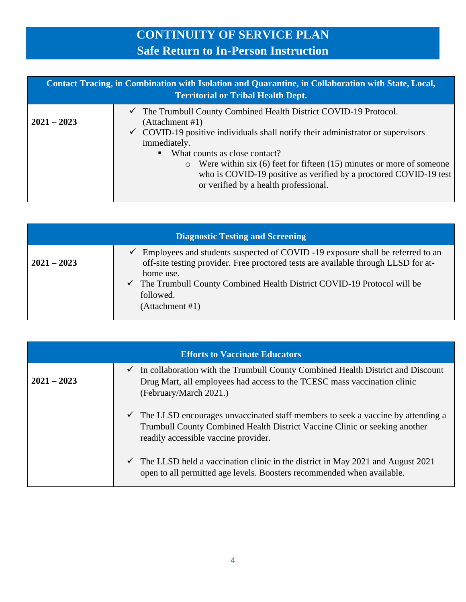| Contact Tracing, in Combination with Isolation and Quarantine, in Collaboration with State, Local,<br><b>Territorial or Tribal Health Dept.</b> |                                                                                                                                                                                                                                                                                                                                                                                                                                                     |
|-------------------------------------------------------------------------------------------------------------------------------------------------|-----------------------------------------------------------------------------------------------------------------------------------------------------------------------------------------------------------------------------------------------------------------------------------------------------------------------------------------------------------------------------------------------------------------------------------------------------|
| $2021 - 2023$                                                                                                                                   | $\checkmark$ The Trumbull County Combined Health District COVID-19 Protocol.<br>(Attachment #1)<br>$\checkmark$ COVID-19 positive individuals shall notify their administrator or supervisors<br>immediately.<br>What counts as close contact?<br>Were within six $(6)$ feet for fifteen $(15)$ minutes or more of someone<br>$\circ$<br>who is COVID-19 positive as verified by a proctored COVID-19 test<br>or verified by a health professional. |

| <b>Diagnostic Testing and Screening</b> |                                                                                                                                                                                                                                                                                                          |
|-----------------------------------------|----------------------------------------------------------------------------------------------------------------------------------------------------------------------------------------------------------------------------------------------------------------------------------------------------------|
| $2021 - 2023$                           | Employees and students suspected of COVID -19 exposure shall be referred to an<br>off-site testing provider. Free proctored tests are available through LLSD for at-<br>home use.<br>$\checkmark$ The Trumbull County Combined Health District COVID-19 Protocol will be<br>followed.<br>(Attachment #1) |

| <b>Efforts to Vaccinate Educators</b> |                                                                                                                                                                                                                    |
|---------------------------------------|--------------------------------------------------------------------------------------------------------------------------------------------------------------------------------------------------------------------|
| $2021 - 2023$                         | $\checkmark$ In collaboration with the Trumbull County Combined Health District and Discount<br>Drug Mart, all employees had access to the TCESC mass vaccination clinic<br>(February/March 2021.)                 |
|                                       | $\checkmark$ The LLSD encourages unvaccinated staff members to seek a vaccine by attending a<br>Trumbull County Combined Health District Vaccine Clinic or seeking another<br>readily accessible vaccine provider. |
|                                       | $\checkmark$ The LLSD held a vaccination clinic in the district in May 2021 and August 2021<br>open to all permitted age levels. Boosters recommended when available.                                              |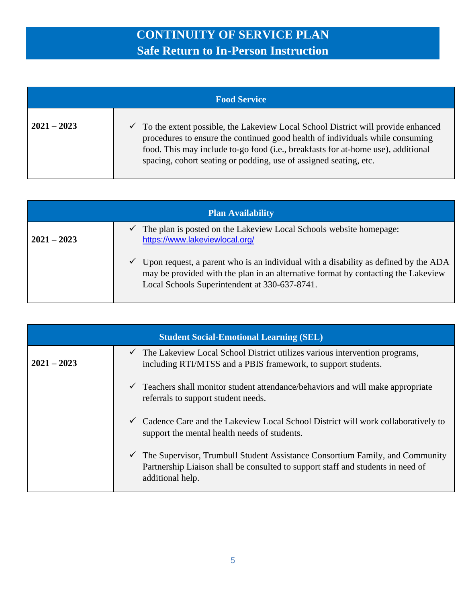| <b>Food Service</b> |                                                                                                                                                                                                                                                                                                                            |
|---------------------|----------------------------------------------------------------------------------------------------------------------------------------------------------------------------------------------------------------------------------------------------------------------------------------------------------------------------|
| $2021 - 2023$       | To the extent possible, the Lakeview Local School District will provide enhanced<br>procedures to ensure the continued good health of individuals while consuming<br>food. This may include to-go food (i.e., breakfasts for at-home use), additional<br>spacing, cohort seating or podding, use of assigned seating, etc. |

| <b>Plan Availability</b> |                                                                                                                                                                                                                                |
|--------------------------|--------------------------------------------------------------------------------------------------------------------------------------------------------------------------------------------------------------------------------|
| $2021 - 2023$            | The plan is posted on the Lakeview Local Schools website homepage:<br>✓<br>https://www.lakeviewlocal.org/                                                                                                                      |
|                          | Upon request, a parent who is an individual with a disability as defined by the ADA<br>V<br>may be provided with the plan in an alternative format by contacting the Lakeview<br>Local Schools Superintendent at 330-637-8741. |

| <b>Student Social-Emotional Learning (SEL)</b> |                                                                                                                                                                                     |
|------------------------------------------------|-------------------------------------------------------------------------------------------------------------------------------------------------------------------------------------|
| $2021 - 2023$                                  | $\checkmark$ The Lakeview Local School District utilizes various intervention programs,<br>including RTI/MTSS and a PBIS framework, to support students.                            |
|                                                | Teachers shall monitor student attendance/behaviors and will make appropriate<br>$\checkmark$<br>referrals to support student needs.                                                |
|                                                | Cadence Care and the Lakeview Local School District will work collaboratively to<br>$\checkmark$<br>support the mental health needs of students.                                    |
|                                                | The Supervisor, Trumbull Student Assistance Consortium Family, and Community<br>Partnership Liaison shall be consulted to support staff and students in need of<br>additional help. |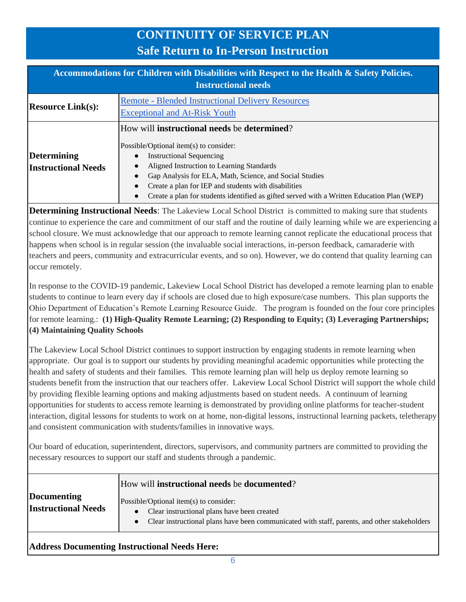| Accommodations for Children with Disabilities with Respect to the Health & Safety Policies.<br><b>Instructional needs</b> |                                                                                                                                                                                                                                                                                                                                                                                                       |
|---------------------------------------------------------------------------------------------------------------------------|-------------------------------------------------------------------------------------------------------------------------------------------------------------------------------------------------------------------------------------------------------------------------------------------------------------------------------------------------------------------------------------------------------|
| <b>Resource Link(s):</b>                                                                                                  | <b>Remote - Blended Instructional Delivery Resources</b><br><b>Exceptional and At-Risk Youth</b>                                                                                                                                                                                                                                                                                                      |
| Determining<br><b>Instructional Needs</b>                                                                                 | How will <b>instructional needs</b> be <b>determined</b> ?<br>Possible/Optional item(s) to consider:<br><b>Instructional Sequencing</b><br>Aligned Instruction to Learning Standards<br>Gap Analysis for ELA, Math, Science, and Social Studies<br>Create a plan for IEP and students with disabilities<br>Create a plan for students identified as gifted served with a Written Education Plan (WEP) |

**Determining Instructional Needs**: The Lakeview Local School District is committed to making sure that students continue to experience the care and commitment of our staff and the routine of daily learning while we are experiencing a school closure. We must acknowledge that our approach to remote learning cannot replicate the educational process that happens when school is in regular session (the invaluable social interactions, in-person feedback, camaraderie with teachers and peers, community and extracurricular events, and so on). However, we do contend that quality learning can occur remotely.

In response to the COVID-19 pandemic, Lakeview Local School District has developed a remote learning plan to enable students to continue to learn every day if schools are closed due to high exposure/case numbers. This plan supports the Ohio Department of Education's Remote Learning Resource Guide. The program is founded on the four core principles for remote learning.: **(1) High-Quality Remote Learning; (2) Responding to Equity; (3) Leveraging Partnerships; (4) Maintaining Quality Schools**

The Lakeview Local School District continues to support instruction by engaging students in remote learning when appropriate. Our goal is to support our students by providing meaningful academic opportunities while protecting the health and safety of students and their families. This remote learning plan will help us deploy remote learning so students benefit from the instruction that our teachers offer. Lakeview Local School District will support the whole child by providing flexible learning options and making adjustments based on student needs. A continuum of learning opportunities for students to access remote learning is demonstrated by providing online platforms for teacher-student interaction, digital lessons for students to work on at home, non-digital lessons, instructional learning packets, teletherapy and consistent communication with students/families in innovative ways.

Our board of education, superintendent, directors, supervisors, and community partners are committed to providing the necessary resources to support our staff and students through a pandemic.

|                                           | How will instructional needs be documented?                                                                                                                                               |
|-------------------------------------------|-------------------------------------------------------------------------------------------------------------------------------------------------------------------------------------------|
| Documenting<br><b>Instructional Needs</b> | Possible/Optional item(s) to consider:<br>• Clear instructional plans have been created<br>• Clear instructional plans have been communicated with staff, parents, and other stakeholders |

### **Address Documenting Instructional Needs Here:**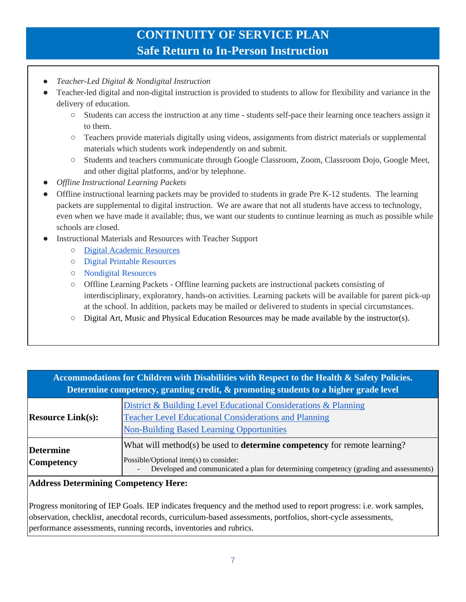- *Teacher-Led Digital & Nondigital Instruction*
- Teacher-led digital and non-digital instruction is provided to students to allow for flexibility and variance in the delivery of education.
	- Students can access the instruction at any time students self-pace their learning once teachers assign it to them.
	- Teachers provide materials digitally using videos, assignments from district materials or supplemental materials which students work independently on and submit.
	- Students and teachers communicate through Google Classroom, Zoom, Classroom Dojo, Google Meet, and other digital platforms, and/or by telephone.
- *Offline Instructional Learning Packets*
- Offline instructional learning packets may be provided to students in grade Pre K-12 students. The learning packets are supplemental to digital instruction. We are aware that not all students have access to technology, even when we have made it available; thus, we want our students to continue learning as much as possible while schools are closed.
- Instructional Materials and Resources with Teacher Support
	- [Digital Academic Resources](https://docs.google.com/spreadsheets/d/1MQFdINX04TVzidaHVms6tmfwUGiD3UZWy44F0xcZ-K4/edit#gid=1121480961)
	- [Digital Printable Resources](https://docs.google.com/spreadsheets/d/1msM91RowEQuL5ANml2WyEEeWKPMJ3tpcXxVCgVbmCOM/edit#gid=0)
	- [Nondigital Resources](https://docs.google.com/spreadsheets/d/111sq5HcVajZEYIYk4QZMFJEew9uktXvL5Vqcjkrdl0I/edit#gid=788839967)
	- Offline Learning Packets Offline learning packets are instructional packets consisting of interdisciplinary, exploratory, hands-on activities. Learning packets will be available for parent pick-up at the school. In addition, packets may be mailed or delivered to students in special circumstances.
	- [Digital Art, Music and Physical Education Resources](https://docs.google.com/spreadsheets/d/13yTVrt1y7yyVW8CjVdVo8tDZnLEnWBeHjb9rAasbo0o/edit#gid=0) may be made available by the instructor(s).

| Accommodations for Children with Disabilities with Respect to the Health & Safety Policies.<br>Determine competency, granting credit, & promoting students to a higher grade level |                                                                                                                                                                                                                     |
|------------------------------------------------------------------------------------------------------------------------------------------------------------------------------------|---------------------------------------------------------------------------------------------------------------------------------------------------------------------------------------------------------------------|
| <b>Resource Link(s):</b>                                                                                                                                                           | District & Building Level Educational Considerations & Planning<br><b>Teacher Level Educational Considerations and Planning</b><br><b>Non-Building Based Learning Opportunities</b>                                 |
| <b>Determine</b><br><b>Competency</b>                                                                                                                                              | What will method(s) be used to <b>determine competency</b> for remote learning?<br>Possible/Optional item(s) to consider:<br>Developed and communicated a plan for determining competency (grading and assessments) |

### **Address Determining Competency Here:**

Progress monitoring of IEP Goals. IEP indicates frequency and the method used to report progress: i.e. work samples, observation, checklist, anecdotal records, curriculum-based assessments, portfolios, short-cycle assessments, performance assessments, running records, inventories and rubrics.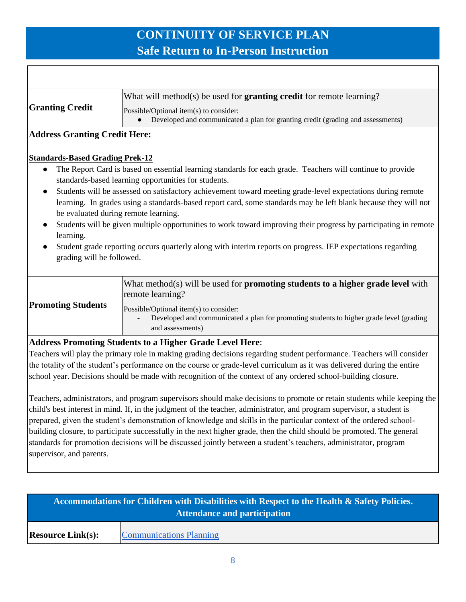T

 $\overline{\Gamma}$ 

| What will method(s) be used for <b>granting credit</b> for remote learning?<br>Possible/Optional item(s) to consider:                                                                                                                                                                                                                                                                                                                                                                                                                                                                                                   |
|-------------------------------------------------------------------------------------------------------------------------------------------------------------------------------------------------------------------------------------------------------------------------------------------------------------------------------------------------------------------------------------------------------------------------------------------------------------------------------------------------------------------------------------------------------------------------------------------------------------------------|
| Developed and communicated a plan for granting credit (grading and assessments)                                                                                                                                                                                                                                                                                                                                                                                                                                                                                                                                         |
| <b>Address Granting Credit Here:</b>                                                                                                                                                                                                                                                                                                                                                                                                                                                                                                                                                                                    |
| <b>Standards-Based Grading Prek-12</b>                                                                                                                                                                                                                                                                                                                                                                                                                                                                                                                                                                                  |
| The Report Card is based on essential learning standards for each grade. Teachers will continue to provide                                                                                                                                                                                                                                                                                                                                                                                                                                                                                                              |
| standards-based learning opportunities for students.                                                                                                                                                                                                                                                                                                                                                                                                                                                                                                                                                                    |
| Students will be assessed on satisfactory achievement toward meeting grade-level expectations during remote                                                                                                                                                                                                                                                                                                                                                                                                                                                                                                             |
| learning. In grades using a standards-based report card, some standards may be left blank because they will not                                                                                                                                                                                                                                                                                                                                                                                                                                                                                                         |
| be evaluated during remote learning.                                                                                                                                                                                                                                                                                                                                                                                                                                                                                                                                                                                    |
| Students will be given multiple opportunities to work toward improving their progress by participating in remote                                                                                                                                                                                                                                                                                                                                                                                                                                                                                                        |
| Student grade reporting occurs quarterly along with interim reports on progress. IEP expectations regarding                                                                                                                                                                                                                                                                                                                                                                                                                                                                                                             |
| grading will be followed.                                                                                                                                                                                                                                                                                                                                                                                                                                                                                                                                                                                               |
|                                                                                                                                                                                                                                                                                                                                                                                                                                                                                                                                                                                                                         |
| What method(s) will be used for <b>promoting students to a higher grade level</b> with<br>remote learning?                                                                                                                                                                                                                                                                                                                                                                                                                                                                                                              |
| Possible/Optional item(s) to consider:<br>Developed and communicated a plan for promoting students to higher grade level (grading<br>and assessments)                                                                                                                                                                                                                                                                                                                                                                                                                                                                   |
| <b>Address Promoting Students to a Higher Grade Level Here:</b>                                                                                                                                                                                                                                                                                                                                                                                                                                                                                                                                                         |
| Teachers will play the primary role in making grading decisions regarding student performance. Teachers will consider<br>the totality of the student's performance on the course or grade-level curriculum as it was delivered during the entire<br>school year. Decisions should be made with recognition of the context of any ordered school-building closure.                                                                                                                                                                                                                                                       |
| Teachers, administrators, and program supervisors should make decisions to promote or retain students while keeping the<br>child's best interest in mind. If, in the judgment of the teacher, administrator, and program supervisor, a student is<br>prepared, given the student's demonstration of knowledge and skills in the particular context of the ordered school-<br>building closure, to participate successfully in the next higher grade, then the child should be promoted. The general<br>standards for promotion decisions will be discussed jointly between a student's teachers, administrator, program |
|                                                                                                                                                                                                                                                                                                                                                                                                                                                                                                                                                                                                                         |

| <b>Attendance and participation</b> |                                |  |
|-------------------------------------|--------------------------------|--|
| Resource Link(s):                   | <b>Communications Planning</b> |  |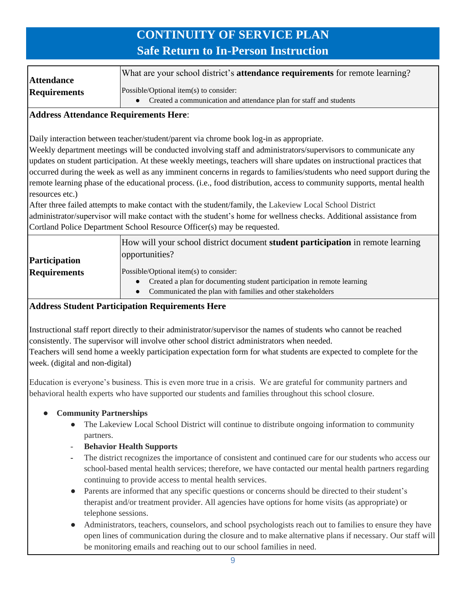| <b>Attendance</b>   | What are your school district's <b>attendance requirements</b> for remote learning? |
|---------------------|-------------------------------------------------------------------------------------|
| <b>Requirements</b> | Possible/Optional item(s) to consider:                                              |
|                     | Created a communication and attendance plan for staff and students                  |

### **Address Attendance Requirements Here**:

Daily interaction between teacher/student/parent via chrome book log-in as appropriate.

Weekly department meetings will be conducted involving staff and administrators/supervisors to communicate any updates on student participation. At these weekly meetings, teachers will share updates on instructional practices that occurred during the week as well as any imminent concerns in regards to families/students who need support during the remote learning phase of the educational process. (i.e., food distribution, access to community supports, mental health resources etc.)

After three failed attempts to make contact with the student/family, the Lakeview Local School District administrator/supervisor will make contact with the student's home for wellness checks. Additional assistance from Cortland Police Department School Resource Officer(s) may be requested.

| <b>Participation</b> | How will your school district document <b>student participation</b> in remote learning<br>opportunities? |
|----------------------|----------------------------------------------------------------------------------------------------------|
| <b>Requirements</b>  | Possible/Optional item(s) to consider:                                                                   |
|                      | Created a plan for documenting student participation in remote learning                                  |
|                      | Communicated the plan with families and other stakeholders<br>$\bullet$                                  |

### **Address Student Participation Requirements Here**

Instructional staff report directly to their administrator/supervisor the names of students who cannot be reached consistently. The supervisor will involve other school district administrators when needed. Teachers will send home a weekly participation expectation form for what students are expected to complete for the week. (digital and non-digital)

Education is everyone's business. This is even more true in a crisis. We are grateful for community partners and behavioral health experts who have supported our students and families throughout this school closure.

### ● **Community Partnerships**

- The Lakeview Local School District will continue to distribute ongoing information to community partners.
- **Behavior Health Supports**
- The district recognizes the importance of consistent and continued care for our students who access our school-based mental health services; therefore, we have contacted our mental health partners regarding continuing to provide access to mental health services.
- Parents are informed that any specific questions or concerns should be directed to their student's therapist and/or treatment provider. All agencies have options for home visits (as appropriate) or telephone sessions.
- Administrators, teachers, counselors, and school psychologists reach out to families to ensure they have open lines of communication during the closure and to make alternative plans if necessary. Our staff will be monitoring emails and reaching out to our school families in need.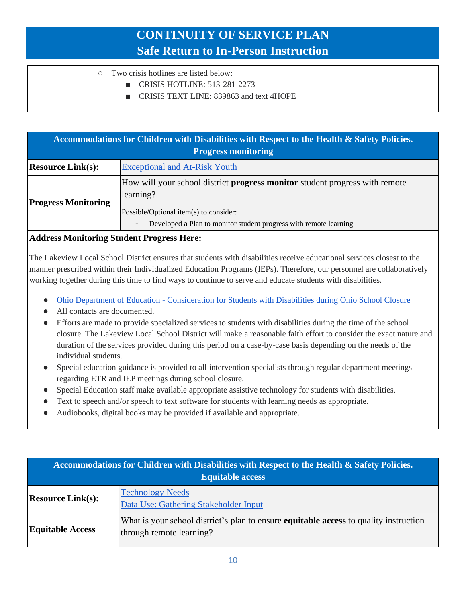- Two crisis hotlines are listed below:
	- CRISIS HOTLINE: 513-281-2273
	- CRISIS TEXT LINE: 839863 and text 4HOPE

| Accommodations for Children with Disabilities with Respect to the Health & Safety Policies.<br><b>Progress monitoring</b> |                                                                                                                                                                                                                     |
|---------------------------------------------------------------------------------------------------------------------------|---------------------------------------------------------------------------------------------------------------------------------------------------------------------------------------------------------------------|
| <b>Resource Link(s):</b>                                                                                                  | <b>Exceptional and At-Risk Youth</b>                                                                                                                                                                                |
| <b>Progress Monitoring</b>                                                                                                | How will your school district <b>progress monitor</b> student progress with remote<br>learning?<br>Possible/Optional item(s) to consider:<br>Developed a Plan to monitor student progress with remote learning<br>- |

#### **Address Monitoring Student Progress Here:**

The Lakeview Local School District ensures that students with disabilities receive educational services closest to the manner prescribed within their Individualized Education Programs (IEPs). Therefore, our personnel are collaboratively working together during this time to find ways to continue to serve and educate students with disabilities.

- Ohio Department of Education [Consideration for Students with Disabilities during Ohio School Closure](http://education.ohio.gov/Topics/Student-Supports/Coronavirus/Considerations-for-Students-with-Disabilities-Duri)
- All contacts are documented.
- Efforts are made to provide specialized services to students with disabilities during the time of the school closure. The Lakeview Local School District will make a reasonable faith effort to consider the exact nature and duration of the services provided during this period on a case-by-case basis depending on the needs of the individual students.
- Special education guidance is provided to all intervention specialists through regular department meetings regarding ETR and IEP meetings during school closure.
- Special Education staff make available appropriate assistive technology for students with disabilities.
- Text to speech and/or speech to text software for students with learning needs as appropriate.
- Audiobooks, digital books may be provided if available and appropriate.

| Accommodations for Children with Disabilities with Respect to the Health & Safety Policies.<br><b>Equitable access</b> |                                                                                                                          |
|------------------------------------------------------------------------------------------------------------------------|--------------------------------------------------------------------------------------------------------------------------|
| <b>Resource Link(s):</b>                                                                                               | <b>Technology Needs</b><br>Data Use: Gathering Stakeholder Input                                                         |
| <b>Equitable Access</b>                                                                                                | What is your school district's plan to ensure <b>equitable access</b> to quality instruction<br>through remote learning? |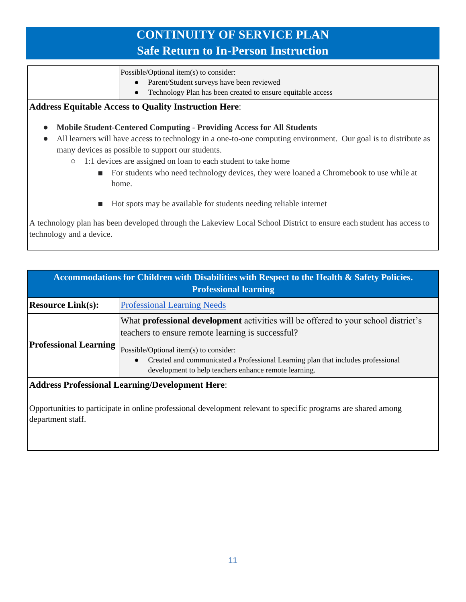Possible/Optional item(s) to consider:

- Parent/Student surveys have been reviewed
- Technology Plan has been created to ensure equitable access

#### **Address Equitable Access to Quality Instruction Here**:

- **Mobile Student-Centered Computing - Providing Access for All Students**
- All learners will have access to technology in a one-to-one computing environment. Our goal is to distribute as many devices as possible to support our students.
	- 1:1 devices are assigned on loan to each student to take home
		- For students who need technology devices, they were loaned a Chromebook to use while at home.
		- Hot spots may be available for students needing reliable internet

A technology plan has been developed through the Lakeview Local School District to ensure each student has access to technology and a device.

| Accommodations for Children with Disabilities with Respect to the Health & Safety Policies.<br><b>Professional learning</b>         |                                                                                                                                                                                                                                                                                                                                                    |
|-------------------------------------------------------------------------------------------------------------------------------------|----------------------------------------------------------------------------------------------------------------------------------------------------------------------------------------------------------------------------------------------------------------------------------------------------------------------------------------------------|
| <b>Resource Link(s):</b>                                                                                                            | <b>Professional Learning Needs</b>                                                                                                                                                                                                                                                                                                                 |
| <b>Professional Learning</b>                                                                                                        | What <b>professional development</b> activities will be offered to your school district's<br>teachers to ensure remote learning is successful?<br>Possible/Optional item(s) to consider:<br>Created and communicated a Professional Learning plan that includes professional<br>$\bullet$<br>development to help teachers enhance remote learning. |
| $\mathbf{A}$ if $\mathbf{B}$ and $\mathbf{B}$ and $\mathbf{B}$ and $\mathbf{B}$ is the set of $\mathbf{B}$ is a set of $\mathbf{B}$ |                                                                                                                                                                                                                                                                                                                                                    |

#### **Address Professional Learning/Development Here**:

Opportunities to participate in online professional development relevant to specific programs are shared among department staff.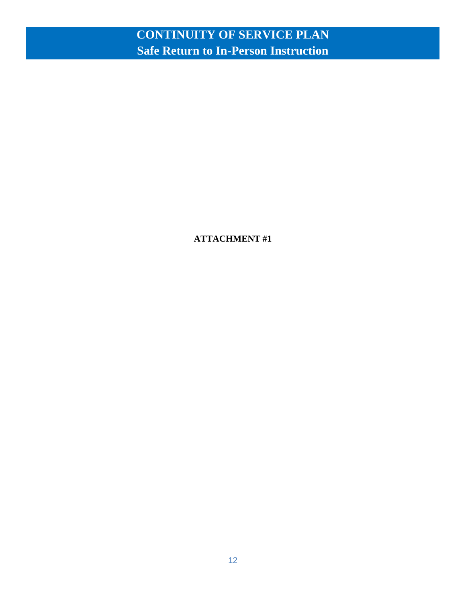**ATTACHMENT #1**